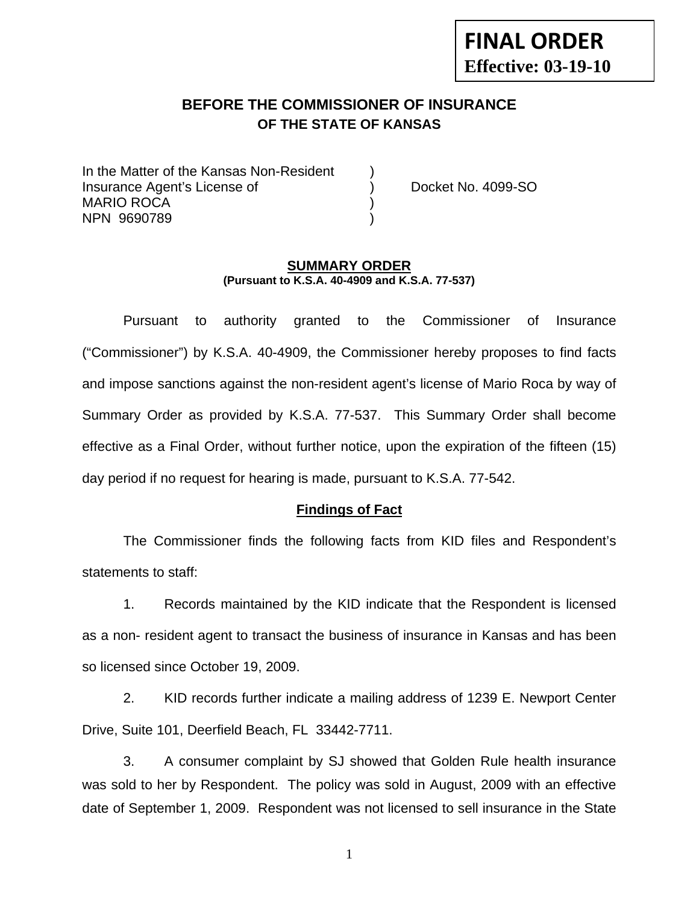# **FINAL ORDER Effective: 03-19-10**

## **BEFORE THE COMMISSIONER OF INSURANCE OF THE STATE OF KANSAS**

In the Matter of the Kansas Non-Resident Insurance Agent's License of ) Docket No. 4099-SO MARIO ROCA (1999) NPN 9690789 )

#### **SUMMARY ORDER (Pursuant to K.S.A. 40-4909 and K.S.A. 77-537)**

 Pursuant to authority granted to the Commissioner of Insurance ("Commissioner") by K.S.A. 40-4909, the Commissioner hereby proposes to find facts and impose sanctions against the non-resident agent's license of Mario Roca by way of Summary Order as provided by K.S.A. 77-537. This Summary Order shall become effective as a Final Order, without further notice, upon the expiration of the fifteen (15) day period if no request for hearing is made, pursuant to K.S.A. 77-542.

#### **Findings of Fact**

 The Commissioner finds the following facts from KID files and Respondent's statements to staff:

 1. Records maintained by the KID indicate that the Respondent is licensed as a non- resident agent to transact the business of insurance in Kansas and has been so licensed since October 19, 2009.

 2. KID records further indicate a mailing address of 1239 E. Newport Center Drive, Suite 101, Deerfield Beach, FL 33442-7711.

 3. A consumer complaint by SJ showed that Golden Rule health insurance was sold to her by Respondent. The policy was sold in August, 2009 with an effective date of September 1, 2009. Respondent was not licensed to sell insurance in the State

1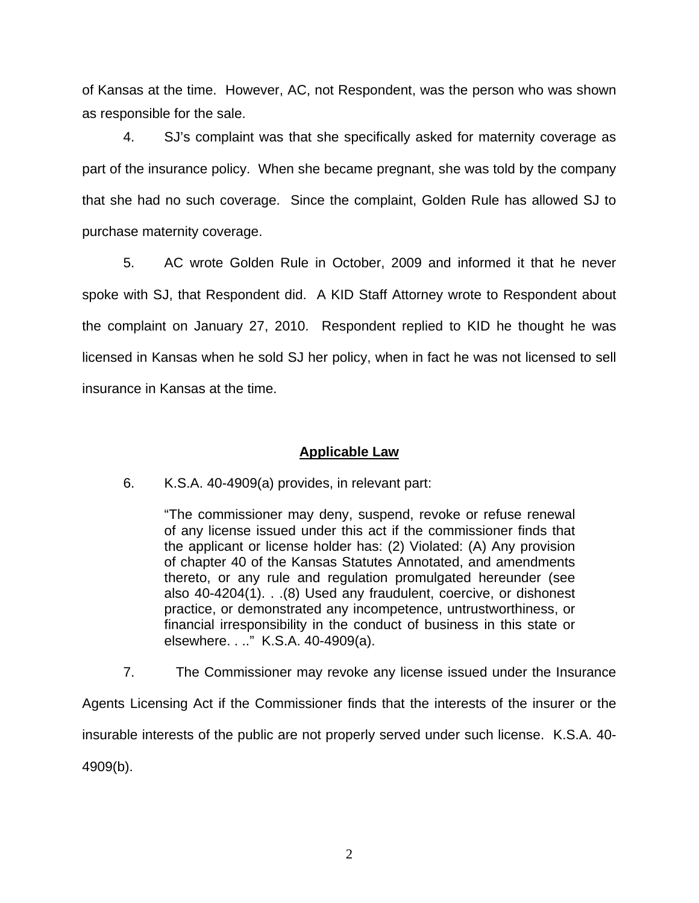of Kansas at the time. However, AC, not Respondent, was the person who was shown as responsible for the sale.

 4. SJ's complaint was that she specifically asked for maternity coverage as part of the insurance policy. When she became pregnant, she was told by the company that she had no such coverage. Since the complaint, Golden Rule has allowed SJ to purchase maternity coverage.

 5. AC wrote Golden Rule in October, 2009 and informed it that he never spoke with SJ, that Respondent did. A KID Staff Attorney wrote to Respondent about the complaint on January 27, 2010. Respondent replied to KID he thought he was licensed in Kansas when he sold SJ her policy, when in fact he was not licensed to sell insurance in Kansas at the time.

### **Applicable Law**

6. K.S.A. 40-4909(a) provides, in relevant part:

"The commissioner may deny, suspend, revoke or refuse renewal of any license issued under this act if the commissioner finds that the applicant or license holder has: (2) Violated: (A) Any provision of chapter 40 of the Kansas Statutes Annotated, and amendments thereto, or any rule and regulation promulgated hereunder (see also 40-4204(1). . .(8) Used any fraudulent, coercive, or dishonest practice, or demonstrated any incompetence, untrustworthiness, or financial irresponsibility in the conduct of business in this state or elsewhere. . .." K.S.A. 40-4909(a).

7. The Commissioner may revoke any license issued under the Insurance

Agents Licensing Act if the Commissioner finds that the interests of the insurer or the insurable interests of the public are not properly served under such license. K.S.A. 40- 4909(b).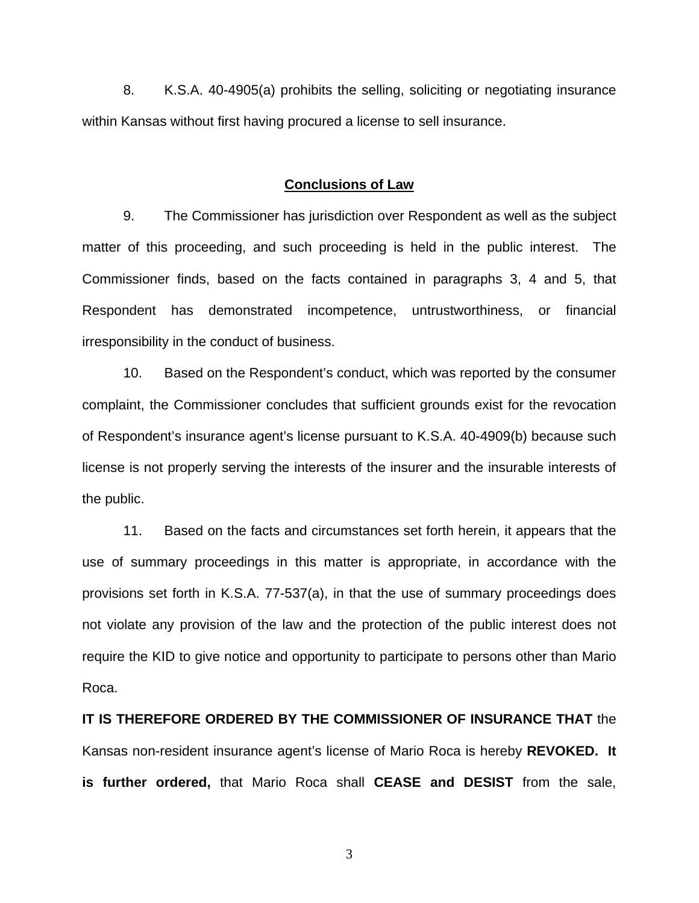8. K.S.A. 40-4905(a) prohibits the selling, soliciting or negotiating insurance within Kansas without first having procured a license to sell insurance.

#### **Conclusions of Law**

 9. The Commissioner has jurisdiction over Respondent as well as the subject matter of this proceeding, and such proceeding is held in the public interest. The Commissioner finds, based on the facts contained in paragraphs 3, 4 and 5, that Respondent has demonstrated incompetence, untrustworthiness, or financial irresponsibility in the conduct of business.

 10. Based on the Respondent's conduct, which was reported by the consumer complaint, the Commissioner concludes that sufficient grounds exist for the revocation of Respondent's insurance agent's license pursuant to K.S.A. 40-4909(b) because such license is not properly serving the interests of the insurer and the insurable interests of the public.

 11. Based on the facts and circumstances set forth herein, it appears that the use of summary proceedings in this matter is appropriate, in accordance with the provisions set forth in K.S.A. 77-537(a), in that the use of summary proceedings does not violate any provision of the law and the protection of the public interest does not require the KID to give notice and opportunity to participate to persons other than Mario Roca.

**IT IS THEREFORE ORDERED BY THE COMMISSIONER OF INSURANCE THAT** the Kansas non-resident insurance agent's license of Mario Roca is hereby **REVOKED. It is further ordered,** that Mario Roca shall **CEASE and DESIST** from the sale,

3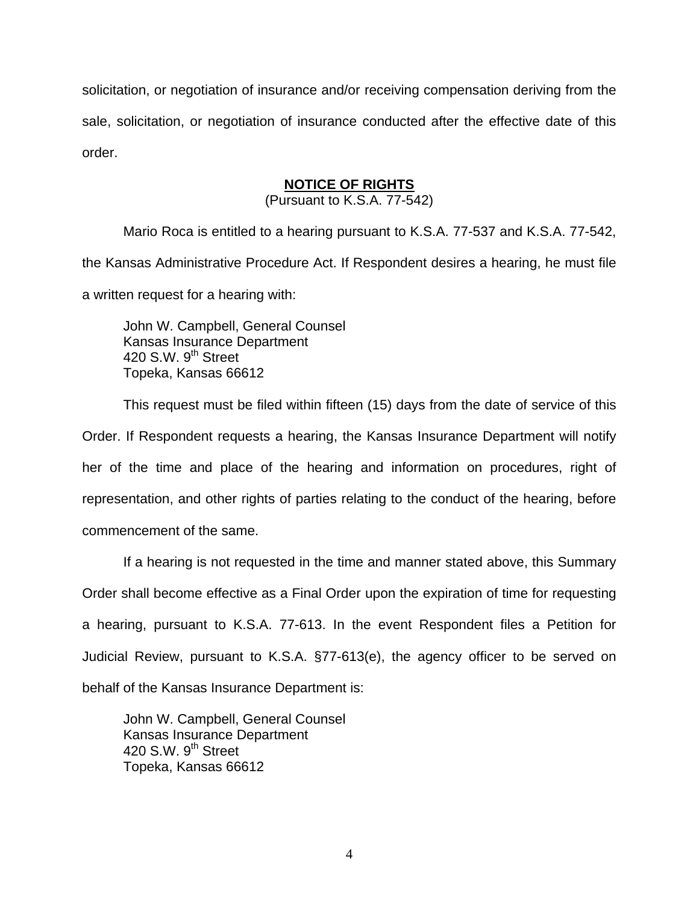solicitation, or negotiation of insurance and/or receiving compensation deriving from the sale, solicitation, or negotiation of insurance conducted after the effective date of this order.

## **NOTICE OF RIGHTS**

(Pursuant to K.S.A. 77-542)

Mario Roca is entitled to a hearing pursuant to K.S.A. 77-537 and K.S.A. 77-542, the Kansas Administrative Procedure Act. If Respondent desires a hearing, he must file a written request for a hearing with:

 John W. Campbell, General Counsel Kansas Insurance Department 420 S.W.  $9<sup>th</sup>$  Street Topeka, Kansas 66612

This request must be filed within fifteen (15) days from the date of service of this

Order. If Respondent requests a hearing, the Kansas Insurance Department will notify her of the time and place of the hearing and information on procedures, right of representation, and other rights of parties relating to the conduct of the hearing, before commencement of the same.

If a hearing is not requested in the time and manner stated above, this Summary Order shall become effective as a Final Order upon the expiration of time for requesting a hearing, pursuant to K.S.A. 77-613. In the event Respondent files a Petition for Judicial Review, pursuant to K.S.A. §77-613(e), the agency officer to be served on behalf of the Kansas Insurance Department is:

 John W. Campbell, General Counsel Kansas Insurance Department 420 S.W. 9<sup>th</sup> Street Topeka, Kansas 66612